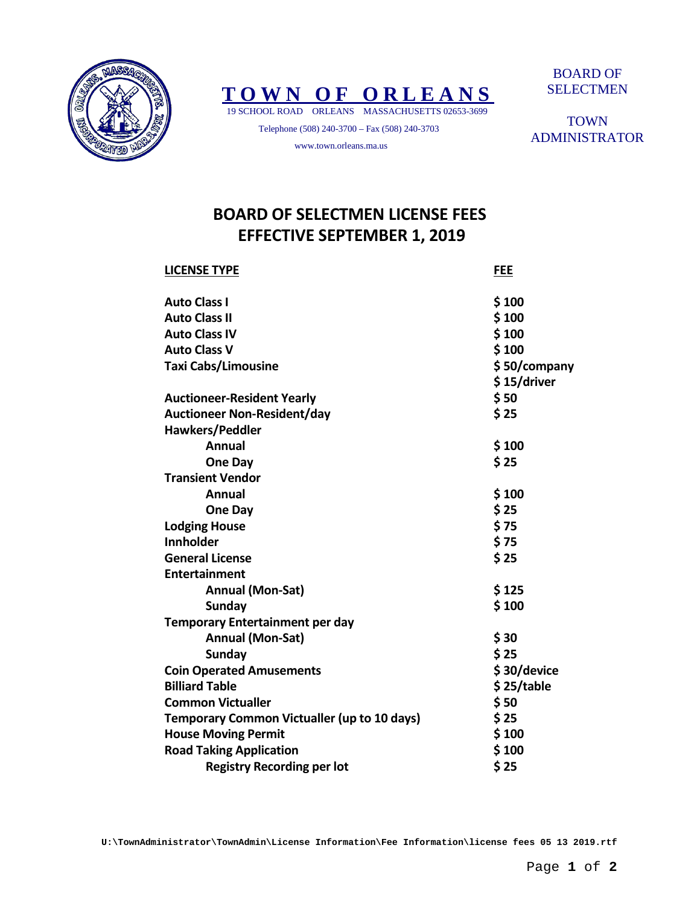



 19 SCHOOL ROAD ORLEANS MASSACHUSETTS 02653-3699 Telephone (508) 240-3700 – Fax (508) 240-3703

www.town.orleans.ma.us

BOARD OF SELECTMEN

**TOWN** ADMINISTRATOR

## **BOARD OF SELECTMEN LICENSE FEES EFFECTIVE SEPTEMBER 1, 2019**

| <b>LICENSE TYPE</b>                                | <b>FEE</b>   |
|----------------------------------------------------|--------------|
| <b>Auto Class I</b>                                | \$100        |
| <b>Auto Class II</b>                               | \$100        |
| <b>Auto Class IV</b>                               | \$100        |
| <b>Auto Class V</b>                                | \$100        |
| <b>Taxi Cabs/Limousine</b>                         | \$50/company |
|                                                    | \$15/driver  |
| <b>Auctioneer-Resident Yearly</b>                  | \$50         |
| <b>Auctioneer Non-Resident/day</b>                 | \$25         |
| <b>Hawkers/Peddler</b>                             |              |
| <b>Annual</b>                                      | \$100        |
| One Day                                            | \$25         |
| <b>Transient Vendor</b>                            |              |
| <b>Annual</b>                                      | \$100        |
| One Day                                            | \$25         |
| <b>Lodging House</b>                               | \$75         |
| <b>Innholder</b>                                   | \$75         |
| <b>General License</b>                             | \$25         |
| Entertainment                                      |              |
| Annual (Mon-Sat)                                   | \$125        |
| <b>Sunday</b>                                      | \$100        |
| <b>Temporary Entertainment per day</b>             |              |
| Annual (Mon-Sat)                                   | \$30         |
| <b>Sunday</b>                                      | \$25         |
| <b>Coin Operated Amusements</b>                    | \$30/device  |
| <b>Billiard Table</b>                              | \$25/table   |
| <b>Common Victualler</b>                           | \$50         |
| <b>Temporary Common Victualler (up to 10 days)</b> | \$25         |
| <b>House Moving Permit</b>                         | \$100        |
| <b>Road Taking Application</b>                     | \$100        |
| <b>Registry Recording per lot</b>                  | \$25         |

**U:\TownAdministrator\TownAdmin\License Information\Fee Information\license fees 05 13 2019.rtf**